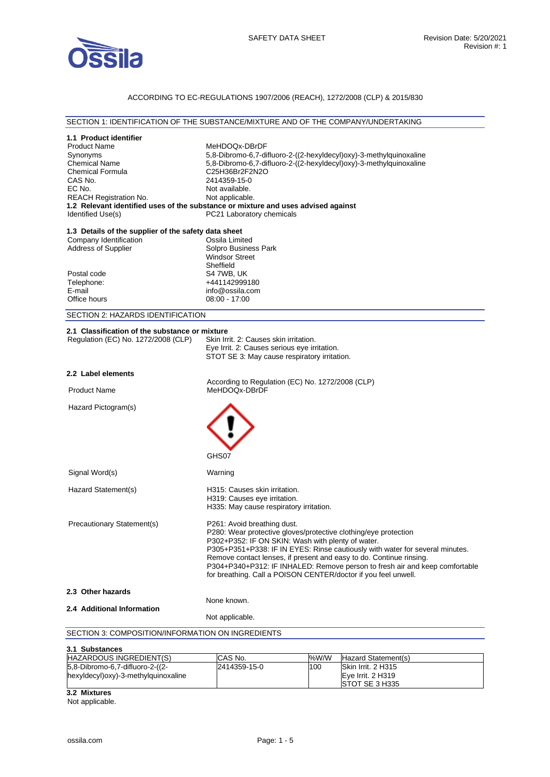

#### ACCORDING TO EC-REGULATIONS 1907/2006 (REACH), 1272/2008 (CLP) & 2015/830

## SECTION 1: IDENTIFICATION OF THE SUBSTANCE/MIXTURE AND OF THE COMPANY/UNDERTAKING **1.1 Product identifier**  Product Name MeHDOQx-DBrDF Synonyms 5,8-Dibromo-6,7-difluoro-2-((2-hexyldecyl)oxy)-3-methylquinoxaline Chemical Name 5,8-Dibromo-6,7-difluoro-2-((2-hexyldecyl)oxy)-3-methylquinoxaline<br>Chemical Formula C25H36Br2F2N2O C<sub>25</sub>H<sub>36</sub>Br<sub>2F2N2O</sub> CAS No. 2414359-15-0<br>EC No. 25 Not available. Not available. REACH Registration No. Not applicable. **1.2 Relevant identified uses of the substance or mixture and uses advised against**  Identified Use(s) The PC21 Laboratory chemicals **1.3 Details of the supplier of the safety data sheet** Company Identification<br>Address of Supplier Solpro Business Park Windsor Street **Sheffield** Postal code S4 7WB, UK<br>Telephone:  $+441142999$ Telephone: +441142999180<br>
E-mail example to the info@ossila.com E-mail<br>
Office hours
office the comment of the comment of the comment of the comment of the comment of the comment of the comment of the comment of the comment of the comment of the comment of the comment of the comment of  $08:00 - 17:00$ SECTION 2: HAZARDS IDENTIFICATION 2.1 Classification of the substance or mixture<br>
Requlation (EC) No. 1272/2008 (CLP) Skin Irrit. 2: Causes skin irritation. Regulation (EC) No. 1272/2008 (CLP) Eye Irrit. 2: Causes serious eye irritation. STOT SE 3: May cause respiratory irritation. **2.2 Label elements**  According to Regulation (EC) No. 1272/2008 (CLP) Product Name MeHDOQx-DBrDF Hazard Pictogram(s) GHS<sub>07</sub> Signal Word(s) Warning Hazard Statement(s) H315: Causes skin irritation. H319: Causes eye irritation. H335: May cause respiratory irritation. Precautionary Statement(s) P261: Avoid breathing dust. P280: Wear protective gloves/protective clothing/eye protection P302+P352: IF ON SKIN: Wash with plenty of water. P305+P351+P338: IF IN EYES: Rinse cautiously with water for several minutes. Remove contact lenses, if present and easy to do. Continue rinsing. P304+P340+P312: IF INHALED: Remove person to fresh air and keep comfortable for breathing. Call a POISON CENTER/doctor if you feel unwell. **2.3 Other hazards**  None known. **2.4 Additional Information**  Not applicable. SECTION 3: COMPOSITION/INFORMATION ON INGREDIENTS **3.1 Substances**  HAZARDOUS INGREDIENT(S) CAS No. %W/W Hazard Statement(s) 5,8-Dibromo-6,7-difluoro-2-((2 hexyldecyl)oxy)-3-methylquinoxaline 2414359-15-0 100 Skin Irrit. 2 H315 Eye Irrit. 2 H319

**3.2 Mixtures** 

Not applicable.

STOT SE 3 H335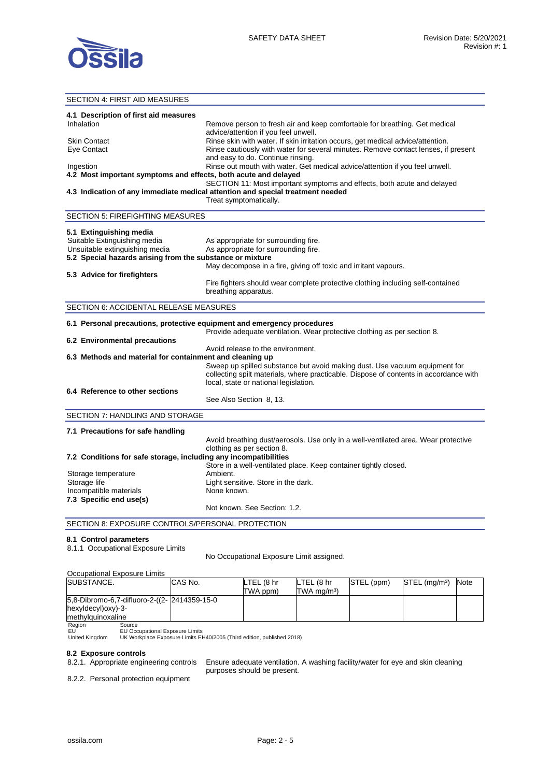

### SECTION 4: FIRST AID MEASURES **4.1 Description of first aid measures**  Inhalation **Remove person to fresh air and keep comfortable for breathing. Get medical** advice/attention if you feel unwell. Skin Contact **Rinse skin with water. If skin irritation occurs**, get medical advice/attention. Eye Contact **Ringe Contact Ringe Contact Rinse cautiously with water for several minutes. Remove contact lenses, if present** and easy to do. Continue rinsing. Ingestion Rinse out mouth with water. Get medical advice/attention if you feel unwell. **4.2 Most important symptoms and effects, both acute and delayed**  SECTION 11: Most important symptoms and effects, both acute and delayed **4.3 Indication of any immediate medical attention and special treatment needed**  Treat symptomatically. SECTION 5: FIREFIGHTING MEASURES **5.1 Extinguishing media**  Suitable Extinguishing media As appropriate for surrounding fire. Unsuitable extinguishing media As appropriate for surrounding fire. **5.2 Special hazards arising from the substance or mixture**  May decompose in a fire, giving off toxic and irritant vapours. **5.3 Advice for firefighters**  Fire fighters should wear complete protective clothing including self-contained breathing apparatus. SECTION 6: ACCIDENTAL RELEASE MEASURES **6.1 Personal precautions, protective equipment and emergency procedures**  Provide adequate ventilation. Wear protective clothing as per section 8. **6.2 Environmental precautions**  Avoid release to the environment. **6.3 Methods and material for containment and cleaning up**  Sweep up spilled substance but avoid making dust. Use vacuum equipment for collecting spilt materials, where practicable. Dispose of contents in accordance with local, state or national legislation. **6.4 Reference to other sections**  See Also Section 8, 13. SECTION 7: HANDLING AND STORAGE **7.1 Precautions for safe handling**  Avoid breathing dust/aerosols. Use only in a well-ventilated area. Wear protective clothing as per section 8. **7.2 Conditions for safe storage, including any incompatibilities**  Store in a well-ventilated place. Keep container tightly closed. Storage temperature **Ambient.** Storage life **Light sensitive.** Store in the dark. Incompatible materials None known. **7.3 Specific end use(s)**  Not known. See Section: 1.2. SECTION 8: EXPOSURE CONTROLS/PERSONAL PROTECTION **8.1 Control parameters**  8.1.1 Occupational Exposure Limits No Occupational Exposure Limit assigned.

|                                              | Occupational Exposure Limits    |         |            |                           |            |                             |             |
|----------------------------------------------|---------------------------------|---------|------------|---------------------------|------------|-----------------------------|-------------|
| <b>SUBSTANCE.</b>                            |                                 | CAS No. | LTEL (8 hr | LTEL (8 hr                | STEL (ppm) | $STEL$ (mg/m <sup>3</sup> ) | <b>Note</b> |
|                                              |                                 |         | TWA ppm)   | $TWA$ mg/m <sup>3</sup> ) |            |                             |             |
| 5.8-Dibromo-6.7-difluoro-2-((2- 2414359-15-0 |                                 |         |            |                           |            |                             |             |
| hexyldecyl) oxy)-3-                          |                                 |         |            |                           |            |                             |             |
| methylguinoxaline                            |                                 |         |            |                           |            |                             |             |
| Region                                       | Source                          |         |            |                           |            |                             |             |
| EU                                           | EU Occupational Exposure Limits |         |            |                           |            |                             |             |

United Kingdom UK Workplace Exposure Limits EH40/2005 (Third edition, published 2018)

### **8.2 Exposure controls**

8.2.1. Appropriate engineering controls Ensure adequate ventilation. A washing facility/water for eye and skin cleaning purposes should be present.

8.2.2. Personal protection equipment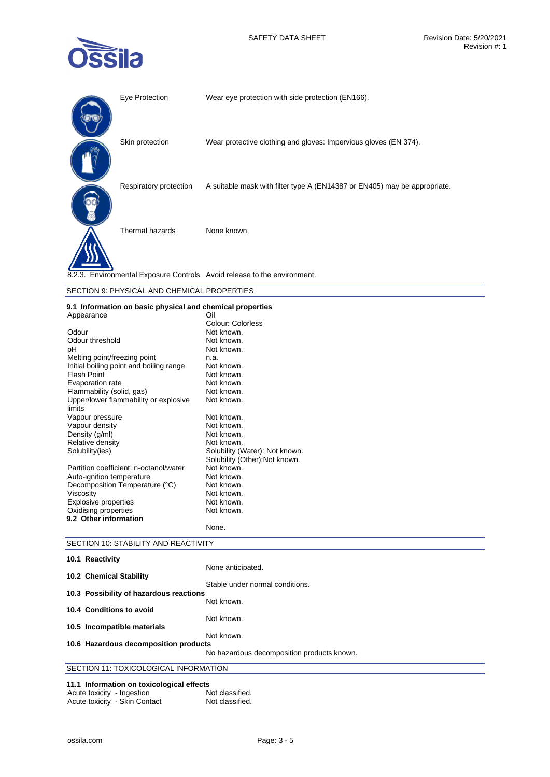

| Eye Protection         | Wear eye protection with side protection (EN166).                         |
|------------------------|---------------------------------------------------------------------------|
| Skin protection        | Wear protective clothing and gloves: Impervious gloves (EN 374).          |
| Respiratory protection | A suitable mask with filter type A (EN14387 or EN405) may be appropriate. |
| Thermal hazards        | None known.                                                               |
|                        | 8.2.3. Environmental Exposure Controls Avoid release to the environment.  |

| SECTION 9: PHYSICAL AND CHEMICAL PROPERTIES               |  |  |
|-----------------------------------------------------------|--|--|
| 9.1 Information on basic physical and chemical properties |  |  |

| 9.1 Information on basic privilegia and chemical properties |                                |  |  |
|-------------------------------------------------------------|--------------------------------|--|--|
| Appearance                                                  | Oil                            |  |  |
|                                                             | Colour: Colorless              |  |  |
| Odour                                                       | Not known.                     |  |  |
| Odour threshold                                             | Not known.                     |  |  |
| рH                                                          | Not known.                     |  |  |
| Melting point/freezing point                                | n.a.                           |  |  |
| Initial boiling point and boiling range                     | Not known.                     |  |  |
| <b>Flash Point</b>                                          | Not known.                     |  |  |
| Evaporation rate                                            | Not known.                     |  |  |
| Flammability (solid, gas)                                   | Not known.                     |  |  |
| Upper/lower flammability or explosive                       | Not known.                     |  |  |
| limits                                                      |                                |  |  |
| Vapour pressure                                             | Not known.                     |  |  |
| Vapour density                                              | Not known.                     |  |  |
| Density (g/ml)                                              | Not known.                     |  |  |
| Relative density                                            | Not known.                     |  |  |
| Solubility(ies)                                             | Solubility (Water): Not known. |  |  |
|                                                             | Solubility (Other): Not known. |  |  |
| Partition coefficient: n-octanol/water                      | Not known.                     |  |  |
| Auto-ignition temperature                                   | Not known.                     |  |  |
| Decomposition Temperature (°C)                              | Not known.                     |  |  |
| Viscosity                                                   | Not known.                     |  |  |
| <b>Explosive properties</b>                                 | Not known.                     |  |  |
| Oxidising properties                                        | Not known.                     |  |  |
| 9.2 Other information                                       |                                |  |  |
|                                                             | None.                          |  |  |

| SECTION 10: STABILITY AND REACTIVITY |  |
|--------------------------------------|--|

| 10.1 Reactivity                         |                                                      |
|-----------------------------------------|------------------------------------------------------|
| 10.2 Chemical Stability                 | None anticipated.<br>Stable under normal conditions. |
| 10.3 Possibility of hazardous reactions |                                                      |
| 10.4 Conditions to avoid                | Not known.                                           |
| 10.5 Incompatible materials             | Not known.                                           |
|                                         | Not known.                                           |
| 10.6 Hazardous decomposition products   | No hazardous decomposition products known.           |
|                                         |                                                      |
| SECTION 11: TOXICOLOGICAL INFORMATION   |                                                      |

# **11.1 Information on toxicological effects**

| Acute toxicity - Ingestion |                               | Not classified. |
|----------------------------|-------------------------------|-----------------|
|                            | Acute toxicity - Skin Contact | Not classified. |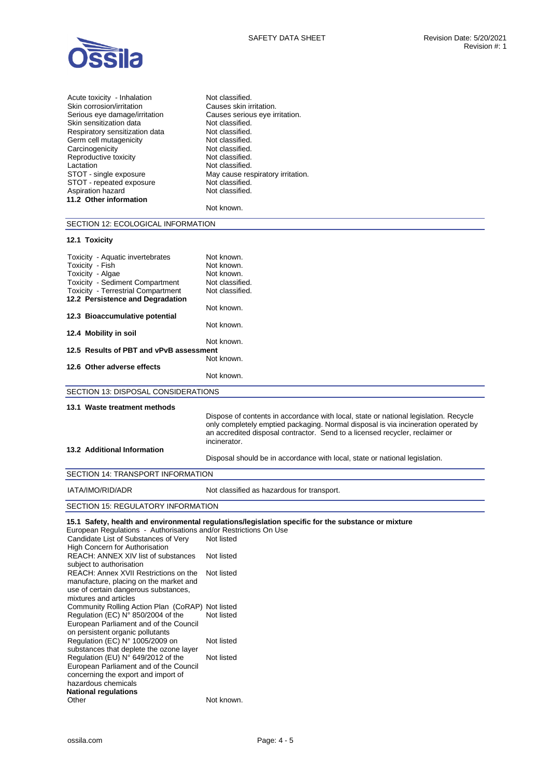

| Acute toxicity - Inhalation    | Not classified. |
|--------------------------------|-----------------|
| Skin corrosion/irritation      | Causes skin irr |
| Serious eye damage/irritation  | Causes serious  |
| Skin sensitization data        | Not classified. |
| Respiratory sensitization data | Not classified. |
| Germ cell mutagenicity         | Not classified. |
| Carcinogenicity                | Not classified. |
| Reproductive toxicity          | Not classified. |
| Lactation                      | Not classified. |
| STOT - single exposure         | May cause res   |
| STOT - repeated exposure       | Not classified. |
| Aspiration hazard              | Not classified. |
| 11.2 Other information         |                 |
|                                | Not known.      |
|                                |                 |

ritation. us eye irritation. spiratory irritation.

# SECTION 12: ECOLOGICAL INFORMATION

## **12.1 Toxicity**

| Toxicity - Aquatic invertebrates                                 | Not known.                                                                                          |
|------------------------------------------------------------------|-----------------------------------------------------------------------------------------------------|
| Toxicity - Fish                                                  | Not known.                                                                                          |
| Toxicity - Algae                                                 | Not known.                                                                                          |
| <b>Toxicity - Sediment Compartment</b>                           | Not classified.                                                                                     |
| <b>Toxicity - Terrestrial Compartment</b>                        | Not classified.                                                                                     |
| 12.2 Persistence and Degradation                                 |                                                                                                     |
|                                                                  | Not known.                                                                                          |
| 12.3 Bioaccumulative potential                                   |                                                                                                     |
|                                                                  | Not known.                                                                                          |
| 12.4 Mobility in soil                                            |                                                                                                     |
|                                                                  | Not known.                                                                                          |
| 12.5 Results of PBT and vPvB assessment                          |                                                                                                     |
|                                                                  | Not known.                                                                                          |
| 12.6 Other adverse effects                                       |                                                                                                     |
|                                                                  | Not known.                                                                                          |
|                                                                  |                                                                                                     |
| SECTION 13: DISPOSAL CONSIDERATIONS                              |                                                                                                     |
| 13.1 Waste treatment methods                                     |                                                                                                     |
|                                                                  | Dispose of contents in accordance with local, state or national legislation. Recycle                |
|                                                                  | only completely emptied packaging. Normal disposal is via incineration operated by                  |
|                                                                  | an accredited disposal contractor. Send to a licensed recycler, reclaimer or                        |
|                                                                  | incinerator.                                                                                        |
| <b>13.2 Additional Information</b>                               |                                                                                                     |
|                                                                  |                                                                                                     |
|                                                                  | Disposal should be in accordance with local, state or national legislation.                         |
| SECTION 14: TRANSPORT INFORMATION                                |                                                                                                     |
| IATA/IMO/RID/ADR                                                 |                                                                                                     |
|                                                                  | Not classified as hazardous for transport.                                                          |
| SECTION 15: REGULATORY INFORMATION                               |                                                                                                     |
|                                                                  |                                                                                                     |
|                                                                  | 15.1 Safety, health and environmental regulations/legislation specific for the substance or mixture |
| European Regulations - Authorisations and/or Restrictions On Use |                                                                                                     |
| Candidate List of Substances of Very                             | Not listed                                                                                          |
| <b>High Concern for Authorisation</b>                            |                                                                                                     |
| REACH: ANNEX XIV list of substances                              | Not listed                                                                                          |
| subject to authorisation                                         |                                                                                                     |
| REACH: Annex XVII Restrictions on the                            | Not listed                                                                                          |
| manufacture, placing on the market and                           |                                                                                                     |
| use of certain dangerous substances,                             |                                                                                                     |
| mixtures and articles                                            |                                                                                                     |
| Community Rolling Action Plan (CoRAP) Not listed                 |                                                                                                     |

| Regulation (EC) N° 850/2004 of the      | Not listed |
|-----------------------------------------|------------|
| European Parliament and of the Council  |            |
| on persistent organic pollutants        |            |
| Regulation (EC) N° 1005/2009 on         | Not listed |
| substances that deplete the ozone layer |            |
| Regulation (EU) N° 649/2012 of the      | Not listed |
| European Parliament and of the Council  |            |
| concerning the export and import of     |            |
| hazardous chemicals                     |            |
| <b>National regulations</b>             |            |
| Other                                   | Not known. |
|                                         |            |